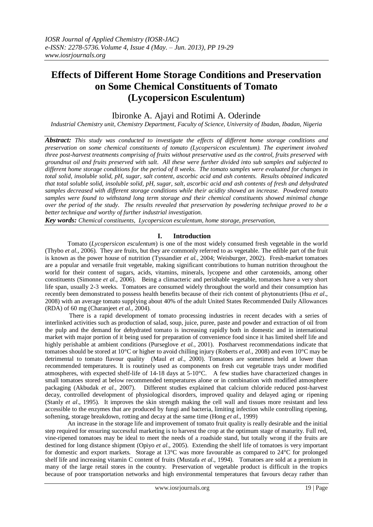# **Effects of Different Home Storage Conditions and Preservation on Some Chemical Constituents of Tomato (Lycopersicon Esculentum)**

## Ibironke A. Ajayi and Rotimi A. Oderinde

*Industrial Chemistry unit, Chemistry Department, Faculty of Science, University of Ibadan, Ibadan, Nigeria*

*Abstract: This study was conducted to investigate the effects of different home storage conditions and preservation on some chemical constituents of tomato (Lycopersicon esculentum). The experiment involved three post-harvest treatments comprising of fruits without preservative used as the control, fruits preserved with groundnut oil and fruits preserved with salt. All these were further divided into sub samples and subjected to different home storage conditions for the period of 8 weeks. The tomato samples were evaluated for changes in total solid, insoluble solid, pH, sugar, salt content, ascorbic acid and ash contents. Results obtained indicated that total soluble solid, insoluble solid, pH, sugar, salt, ascorbic acid and ash contents of fresh and dehydrated samples decreased with different storage conditions while their acidity showed an increase. Powdered tomato samples were found to withstand long term storage and their chemical constituents showed minimal change over the period of the study. The results revealed that preservation by powdering technique proved to be a better technique and worthy of further industrial investigation.*

*Key words: Chemical constituents, Lycopersicon esculentum, home storage, preservation,* 

### **I. Introduction**

Tomato (*Lycopersicon esculentum*) is one of the most widely consumed fresh vegetable in the world (Thybo *et al.,* 2006). They are fruits, but they are commonly referred to as vegetable. The edible part of the fruit is known as the power house of nutrition (Tyssandier *et al.,* 2004; Weisburger, 2002). Fresh-market tomatoes are a popular and versatile fruit vegetable, making significant contributions to human nutrition throughout the world for their content of sugars, acids, vitamins, minerals, lycopene and other carotenoids, among other constituents (Simonne *et al.,* 2006). Being a climacteric and perishable vegetable, tomatoes have a very short life span, usually 2-3 weeks. Tomatoes are consumed widely throughout the world and their consumption has recently been demonstrated to possess health benefits because of their rich content of phytonutrients (Hsu *et al*., 2008) with an average tomato supplying about 40% of the adult United States Recommended Daily Allowances (RDA) of 60 mg (Charanjeet *et al.,* 2004).

There is a rapid development of tomato processing industries in recent decades with a series of interlinked activities such as production of salad, soup, juice, puree, paste and powder and extraction of oil from the pulp and the demand for dehydrated tomato is increasing rapidly both in domestic and in international market with major portion of it being used for preparation of convenience food since it has limited shelf life and highly perishable at ambient conditions (Purseglove *et al.*, 2001). Postharvest recommendations indicate that tomatoes should be stored at 10°C or higher to avoid chilling injury (Roberts *et al.,* 2008) and even 10°C may be detrimental to tomato flavour quality (Maul *et al.,* 2000). Tomatoes are sometimes held at lower than recommended temperatures. It is routinely used as components on fresh cut vegetable trays under modified atmospheres, with expected shelf-life of 14-18 days at 5-10°C. A few studies have characterized changes in small tomatoes stored at below recommended temperatures alone or in combination with modified atmosphere packaging (Akbudak *et al.,* 2007). Different studies explained that calcium chloride reduced post-harvest decay, controlled development of physiological disorders, improved quality and delayed aging or ripening (Stanly *et al*., 1995). It improves the skin strength making the cell wall and tissues more resistant and less accessible to the enzymes that are produced by fungi and bacteria, limiting infection while controlling ripening, softening, storage breakdown, rotting and decay at the same time (Hong *et al*., 1999)

An increase in the storage life and improvement of tomato fruit quality is really desirable and the initial step required for ensuring successful marketing is to harvest the crop at the optimum stage of maturity. Full red, vine-ripened tomatoes may be ideal to meet the needs of a roadside stand, but totally wrong if the fruits are destined for long distance shipment (Opiyo *et al.,* 2005). Extending the shelf life of tomatoes is very important for domestic and export markets. Storage at 13°C was more favourable as compared to 24°C for prolonged shelf life and increasing vitamin C content of fruits (Mustafa *et al.,* 1994). Tomatoes are sold at a premium in many of the large retail stores in the country. Preservation of vegetable product is difficult in the tropics because of poor transportation networks and high environmental temperatures that favours decay rather than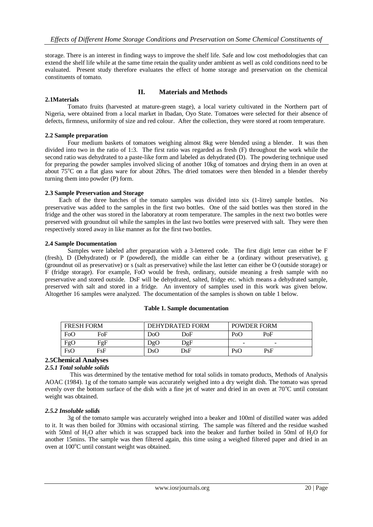storage. There is an interest in finding ways to improve the shelf life. Safe and low cost methodologies that can extend the shelf life while at the same time retain the quality under ambient as well as cold conditions need to be evaluated. Present study therefore evaluates the effect of home storage and preservation on the chemical constituents of tomato.

#### **2.1Materials**

### **II. Materials and Methods**

Tomato fruits (harvested at mature-green stage), a local variety cultivated in the Northern part of Nigeria, were obtained from a local market in Ibadan, Oyo State. Tomatoes were selected for their absence of defects, firmness, uniformity of size and red colour. After the collection, they were stored at room temperature.

#### **2.2 Sample preparation**

 Four medium baskets of tomatoes weighing almost 8kg were blended using a blender. It was then divided into two in the ratio of 1:3. The first ratio was regarded as fresh (F) throughout the work while the second ratio was dehydrated to a paste-like form and labeled as dehydrated (D). The powdering technique used for preparing the powder samples involved slicing of another 10kg of tomatoes and drying them in an oven at about  $75^{\circ}$ C on a flat glass ware for about 20hrs. The dried tomatoes were then blended in a blender thereby turning them into powder (P) form.

#### **2.3 Sample Preservation and Storage**

 Each of the three batches of the tomato samples was divided into six (1-litre) sample bottles. No preservative was added to the samples in the first two bottles. One of the said bottles was then stored in the fridge and the other was stored in the laboratory at room temperature. The samples in the next two bottles were preserved with groundnut oil while the samples in the last two bottles were preserved with salt. They were then respectively stored away in like manner as for the first two bottles.

#### **2.4 Sample Documentation**

Samples were labeled after preparation with a 3-lettered code. The first digit letter can either be F (fresh), D (Dehydrated) or P (powdered), the middle can either be a (ordinary without preservative), g (groundnut oil as preservative) or s (salt as preservative) while the last letter can either be O (outside storage) or F (fridge storage). For example, FoO would be fresh, ordinary, outside meaning a fresh sample with no preservative and stored outside. DsF will be dehydrated, salted, fridge etc. which means a dehydrated sample, preserved with salt and stored in a fridge. An inventory of samples used in this work was given below. Altogether 16 samples were analyzed. The documentation of the samples is shown on table 1 below.

|  | <b>Table 1. Sample documentation</b> |
|--|--------------------------------------|
|--|--------------------------------------|

| <b>FRESH FORM</b> |                  | DEHYDRATED FORM |              | <b>POWDER FORM</b>       |                          |
|-------------------|------------------|-----------------|--------------|--------------------------|--------------------------|
| FoO               | FoF              | DoO             | DoF          | PoC                      | PoF                      |
| FgO               | FgF              | DgO             | $_{\rm DgF}$ | $\overline{\phantom{a}}$ | $\overline{\phantom{a}}$ |
| FsO               | F <sub>S</sub> F | DsO             | DsF          | <b>PsC</b>               | PsF                      |

## **2.5Chemical Analyses**

## *2.5.1 Total soluble solids*

 This was determined by the tentative method for total solids in tomato products, Methods of Analysis AOAC (1984). 1g of the tomato sample was accurately weighed into a dry weight dish. The tomato was spread evenly over the bottom surface of the dish with a fine jet of water and dried in an oven at 70<sup>o</sup>C until constant weight was obtained.

#### *2.5.2 Insoluble solids*

3g of the tomato sample was accurately weighed into a beaker and 100ml of distilled water was added to it. It was then boiled for 30mins with occasional stirring. The sample was filtered and the residue washed with 50ml of H<sub>2</sub>O after which it was scrapped back into the beaker and further boiled in 50ml of H<sub>2</sub>O for another 15mins. The sample was then filtered again, this time using a weighed filtered paper and dried in an oven at  $100^{\circ}$ C until constant weight was obtained.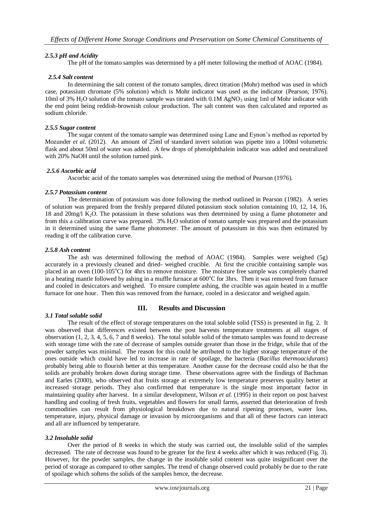### *2.5.3 pH and Acidity*

The pH of the tomato samples was determined by a pH meter following the method of AOAC (1984).

### *2.5.4 Salt content*

In determining the salt content of the tomato samples, direct titration (Mohr) method was used in which case, potassium chromate (5% solution) which is Mohr indicator was used as the indicator (Pearson, 1976). 10ml of 3%  $H_2O$  solution of the tomato sample was titrated with 0.1M AgNO<sub>3</sub> using 1ml of Mohr indicator with the end point being reddish-brownish colour production. The salt content was then calculated and reported as sodium chloride.

#### *2.5.5 Sugar content*

The sugar content of the tomato sample was determined using Lane and Eynon's method as reported by Mozunder *et al.* (2012). An amount of 25ml of standard invert solution was pipette into a 100ml volumetric flask and about 50ml of water was added. A few drops of phenolphthalein indicator was added and neutralized with 20% NaOH until the solution turned pink.

#### *2.5.6 Ascorbic acid*

Ascorbic acid of the tomato samples was determined using the method of Pearson (1976).

#### *2.5.7 Potassium content*

The determination of potassium was done following the method outlined in Pearson (1982). A series of solution was prepared from the freshly prepared diluted potassium stock solution containing 10, 12, 14, 16, 18 and 20mg/l K2O. The potassium in these solutions was then determined by using a flame photometer and from this a calibration curve was prepared. 3% H<sub>2</sub>O solution of tomato sample was prepared and the potassium in it determined using the same flame photometer. The amount of potassium in this was then estimated by reading it off the calibration curve.

#### *2.5.8 Ash content*

The ash was determined following the method of AOAC (1984). Samples were weighed (5g) accurately in a previously cleaned and dried- weighed crucible. At first the crucible containing sample was placed in an oven  $(100-105^{\circ}\text{C})$  for 4hrs to remove moisture. The moisture free sample was completely charred in a heating mantle followed by ashing in a muffle furnace at  $600^{\circ}$ C for 3hrs. Then it was removed from furnace and cooled in desiccators and weighed. To ensure complete ashing, the crucible was again heated in a muffle furnace for one hour. Then this was removed from the furnace, cooled in a desiccator and weighed again.

### **III. Results and Discussion**

#### *3.1 Total soluble solid*

The result of the effect of storage temperatures on the total soluble solid (TSS) is presented in fig. 2. It was observed that differences existed between the post harvests temperature treatments at all stages of observation (1, 2, 3, 4, 5, 6, 7 and 8 weeks). The total soluble solid of the tomato samples was found to decrease with storage time with the rate of decrease of samples outside greater than those in the fridge, while that of the powder samples was minimal. The reason for this could be attributed to the higher storage temperature of the ones outside which could have led to increase in rate of spoilage, the bacteria (*Bacillus thermoacidurans*) probably being able to flourish better at this temperature. Another cause for the decrease could also be that the solids are probably broken down during storage time. These observations agree with the findings of Bachman and Earles (2000), who observed that fruits storage at extremely low temperature preserves quality better at increased storage periods. They also confirmed that temperature is the single most important factor in maintaining quality after harvest. In a similar development, Wilson *et al.* (1995) in their report on post harvest handling and cooling of fresh fruits, vegetables and flowers for small farms, asserted that deterioration of fresh commodities can result from physiological breakdown due to natural ripening processes, water loss, temperature, injury, physical damage or invasion by microorganisms and that all of these factors can interact and all are influenced by temperature.

### *3.2 Insoluble solid*

Over the period of 8 weeks in which the study was carried out, the insoluble solid of the samples decreased. The rate of decrease was found to be greater for the first 4 weeks after which it was reduced (Fig. 3). However, for the powder samples, the change in the insoluble solid content was quite insignificant over the period of storage as compared to other samples. The trend of change observed could probably be due to the rate of spoilage which softens the solids of the samples hence, the decrease.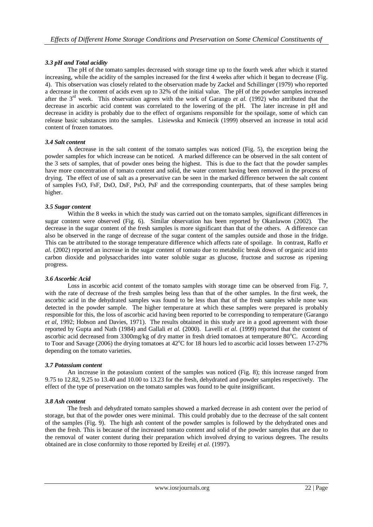### *3.3 pH and Total acidity*

The pH of the tomato samples decreased with storage time up to the fourth week after which it started increasing, while the acidity of the samples increased for the first 4 weeks after which it began to decrease (Fig. 4). This observation was closely related to the observation made by Zackel and Schillinger (1979) who reported a decrease in the content of acids even up to 32% of the initial value. The pH of the powder samples increased after the 3<sup>rd</sup> week. This observation agrees with the work of Garango *et al.* (1992) who attributed that the decrease in ascorbic acid content was correlated to the lowering of the pH. The later increase in pH and decrease in acidity is probably due to the effect of organisms responsible for the spoilage, some of which can release basic substances into the samples. Lisiewska and Kmiecik (1999) observed an increase in total acid content of frozen tomatoes.

#### *3.4 Salt content*

A decrease in the salt content of the tomato samples was noticed (Fig. 5), the exception being the powder samples for which increase can be noticed. A marked difference can be observed in the salt content of the 3 sets of samples, that of powder ones being the highest. This is due to the fact that the powder samples have more concentration of tomato content and solid, the water content having been removed in the process of drying. The effect of use of salt as a preservative can be seen in the marked difference between the salt content of samples FsO, FsF, DsO, DsF, PsO, PsF and the corresponding counterparts, that of these samples being higher.

#### *3.5 Sugar content*

Within the 8 weeks in which the study was carried out on the tomato samples, significant differences in sugar content were observed (Fig. 6). Similar observation has been reported by Okanlawon (2002). The decrease in the sugar content of the fresh samples is more significant than that of the others. A difference can also be observed in the range of decrease of the sugar content of the samples outside and those in the fridge. This can be attributed to the storage temperature difference which affects rate of spoilage. In contrast, Raffo *et al.* (2002) reported an increase in the sugar content of tomato due to metabolic break down of organic acid into carbon dioxide and polysaccharides into water soluble sugar as glucose, fructose and sucrose as ripening progress.

#### *3.6 Ascorbic Acid*

Loss in ascorbic acid content of the tomato samples with storage time can be observed from Fig. 7, with the rate of decrease of the fresh samples being less than that of the other samples. In the first week, the ascorbic acid in the dehydrated samples was found to be less than that of the fresh samples while none was detected in the powder sample. The higher temperature at which these samples were prepared is probably responsible for this, the loss of ascorbic acid having been reported to be corresponding to temperature (Garango *et al,* 1992; Hobson and Davies, 1971). The results obtained in this study are in a good agreement with those reported by Gupta and Nath (1984) and Gallali *et al.* (2000). Lavelli *et al.* (1999) reported that the content of ascorbic acid decreased from 3300mg/kg of dry matter in fresh dried tomatoes at temperature 80°C. According to Toor and Savage (2006) the drying tomatoes at  $42^{\circ}$ C for 18 hours led to ascorbic acid losses between 17-27% depending on the tomato varieties.

#### *3.7 Potassium content*

An increase in the potassium content of the samples was noticed (Fig. 8); this increase ranged from 9.75 to 12.82, 9.25 to 13.40 and 10.00 to 13.23 for the fresh, dehydrated and powder samples respectively. The effect of the type of preservation on the tomato samples was found to be quite insignificant.

#### *3.8 Ash content*

The fresh and dehydrated tomato samples showed a marked decrease in ash content over the period of storage, but that of the powder ones were minimal. This could probably due to the decrease of the salt content of the samples (Fig. 9). The high ash content of the powder samples is followed by the dehydrated ones and then the fresh. This is because of the increased tomato content and solid of the powder samples that are due to the removal of water content during their preparation which involved drying to various degrees. The results obtained are in close conformity to those reported by Ereifej *et al.* (1997).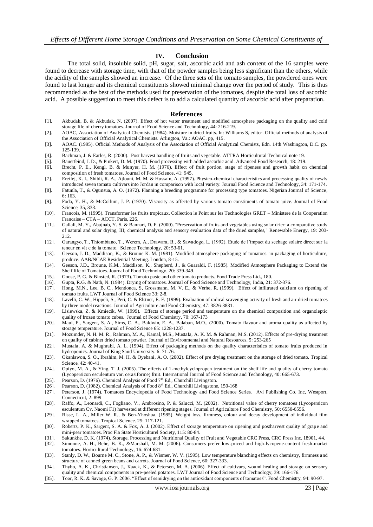#### **IV. Conclusion**

The total solid, insoluble solid, pH, sugar, salt, ascorbic acid and ash content of the 16 samples were found to decrease with storage time, with that of the powder samples being less significant than the others, while the acidity of the samples showed an increase. Of the three sets of the tomato samples, the powdered ones were found to last longer and its chemical constituents showed minimal change over the period of study. This is thus recommended as the best of the methods used for preservation of the tomatoes, despite the total loss of ascorbic acid. A possible suggestion to meet this defect is to add a calculated quantity of ascorbic acid after preparation.

#### **References**

- [1]. Akbudak, B. & Akbudak, N. (2007). Effect of hot water treatment and modified atmosphere packaging on the quality and cold storage life of cherry tomatoes. Journal of Food Science and Technology, 44: 216-219.
- [2]. AOAC, Association of Analytical Chemists. (1984). Moisture in dried fruits. In: Williams S, editor. Official methods of analysis of the Association of Official Analytical Chemists. Arlington, Va.: AOAC. pp, 415.
- [3]. AOAC. (1995). Official Methods of Analysis of the Association of Official Analytical Chemists, Edn. 14th Washington, D.C. pp. 125-139.
- [4]. Bachman, J. & Earles, R. (2000). Post harvest handling of fruits and vegetable. ATTRA Horticultural Technical note 19.
- [5]. Bauerfeind, J. D., & Pinkert, D. M. (1970). Food processing with added ascorbic acid. Advanced Food Research, 18: 219. [6]. Brecht, P. E., Kengl, B. & Munyer, H. M. (1976). Effect of fruit portion, stage of ripeness and growth habit on chemical
- composition of fresh tomatoes. Journal of Food Science, 41: 945. [7]. Ereifej, K. I., Shibli, R. A., Ajlouni, M. M. & Hussain, A. (1997). Physico-chemical characteristics and processing quality of newly introduced seven tomato cultivars into Jordan in comparison with local variety. Journal Food Science and Technology, 34: 171-174.
- [8]. Fatunla, T., & Ogunsua, A. O. (1972). Planning a breeding programme for processing type tomatoes. Nigerian Journal of Science, 6: 163.
- [9]. Foda, Y. H., & McCollum, J. P. (1970). Viscosity as affected by various tomato constituents of tomato juice. Journal of Food Science, 35, 333.
- [10]. Francois, M. (1995). Transformer les fruits tropicaux. Collection le Point sur les Technologies GRET Ministere de la Cooperation Francaise – CTA – ACCT, Paris, 226.
- [11]. Gallali, M. Y., Abujnab, Y. S. & Bannari, D. F. (2000). "Preservation of fruits and vegetables using solar drier: a comparative study of natural and solar drying, III; chemical analysis and sensory evaluation data of the dried samples," Renewable Energy, 19: 203- 212.
- [12]. Garangyo, T., Thiombiano, T., Werem, A., Drawara, B., & Sawadogo, L. (1992). Etude de l'impact du sechage solaire direct sur la teneur en vit c de la tomato. Science Technology, 20: 53-61.
- [13]. Geeson, J. D., Maddison, K., & Broune K. M. (1981). Modified atmosphere packaging of tomatoes. in packaging of horticulture, produce. AAB/NCAE Residential Meeting. London, 8-15.
- [14]. Geeson, J.D., Broune, K.M., Maddison, K., Shepherd, J., & Guaraldi, F. (1985). Modified Atmosphere Packaging to Extend the Shelf life of Tomatoes. Journal of Food Technology, 20: 339-349.
- [15]. Goose, P. G. & Binsted, R. (1973). Tomato paste and other tomato products. Food Trade Press Ltd., 180.
- [16]. Gupta, R.G. & Nath, N. (1984). Drying of tomatoes. Journal of Food Science and Technology, India, 21: 372-376.
- [17]. Hong, M.N., Lee, B. C., Mendonca, S, Grossmann, M. V. E., & Verhe, R. (1999). Effect of infiltrated calcium on ripening of tomato fruits. LWT Journal of Food Science 33: 2-8.
- [18]. Lavelli, C. W., Hippeli, S., Peri, C. & Elstner, E. F. (1999). Evaluation of radical scavenging activity of fresh and air dried tomatoes by three model reactions. Journal of Agriculture and Food Chemistry, 47: 3826-3831.
- [19]. Lisiewska, Z. & Kmiecik, W. (1999). Effects of storage period and temperature on the chemical composition and organoleptic quality of frozen tomato cubes. Journal of Food Chemistry, 70: 167-173
- [20]. Maul, F., Sargent, S. A., Sims, C. A., Baldwin, E. A., Balaban, M.O., (2000). Tomato flavuor and aroma quality as affected by storage temperature. Journal of Food Science 65: 1228-1237.
- [21]. Mozumder, N. H. M. R., Rahman, M. A., Kamal, M.S., Mustafa, A. K. M. & Rahman, M.S. (2012). Effects of pre-drying treatment on quality of cabinet dried tomato powder. Journal of Environmental and Natural Resources, 5: 253-265
- [22]. Mustafa, A. & Mughrabi, A. L. (1994). Effect of packaging methods on the quality characteristics of tomato fruits produced in hydroponics. Journal of King Saud University. 6: 71-76.
- [23]. Okanlawon, S. O., Ibrahim, M. H. & Oyebani, A. O. (2002). Effect of pre drying treatment on the storage of dried tomato. Tropical Science, 42: 40-41.
- [24]. Opiyo, M. A., & Ying, T. J. (2005). The effects of 1-methylcyclopropen treatment on the shelf life and quality of cherry tomato (Lycopersicon esculentum var. cerasiforme) fruit. International Journal of Food Science and Technology, 40: 665-673.
- [25]. Pearson, D. (1976). Chemical Analysis of Food  $7<sup>th</sup>$  Ed., Churchill Livingston.
- [26]. Pearson, D. (1982). Chemical Analysis of Food 8<sup>th</sup> Ed., Churchill Livingstone, 150-168
- [27]. Peterson, J. (1974). Tomatoes Encyclopedia of Food Technology and Food Science Series. Avi Publishing Co. Inc, Westport, Connecticut, 2: 899
- [28]. Raffo, A., Leonardi, C., Fogliano, V., Ambrosino, P. & Salucci, M. (2002). Nutritional value of cherry tomatoes (Lycopersicon esculentum Cv. Naomi F1) harvested at different ripening stages. Journal of Agriculture Food Chemistry, 50: 6550-6556.
- [29]. Risse, L. A., Miller W. R., & Ben-Yhoshua, (1985). Weight loss, firmness, colour and decay development of individual film wrapped tomatoes. Tropical Science. 25: 117-121.
- [30]. Roberts, P. K., Sargent, S. A. & Fox, A. J. (2002). Effect of storage temperature on ripening and postharvest quality of grape and mini-pear tomatoes. Proc Fla State Horticulturel Society, 115: 80-84.
- [31]. Sakunkhe, D. K. (1974). Storage, Processing and Nutritional Quality of Fruit and Vegetable CRC Press, CRC Press Inc. 18901, 44. [32]. Simonne, A. H., Behe, B. K., &Marshall, M. M. (2006). Consumers prefer low-priced and high-lycopene-content fresh-market
- tomatoes. Horticultural Technology, 16: 674-681.
- [33]. Stanly, D. W., Bourne M. C., Stone, A. P., & Wismer, W. V. (1995). Low temperature blanching effects on chemistry, firmness and structure of canned green beans and carrots. Journal of Food Science, 60: 327-333.
- [34]. Thybo, A. K., Christiansen, J., Kaack, K., & Petersen, M. A. (2006). Effect of cultivars, wound healing and storage on sensory quality and chemical components in pre-peeled potatoes. LWT Journal of Food Science and Technology, 39: 166-176.
- [35]. Toor, R. K. & Savage, G. P. 2006. "Effect of semidrying on the antioxidant components of tomatoes". Food Chemistry, 94: 90-97.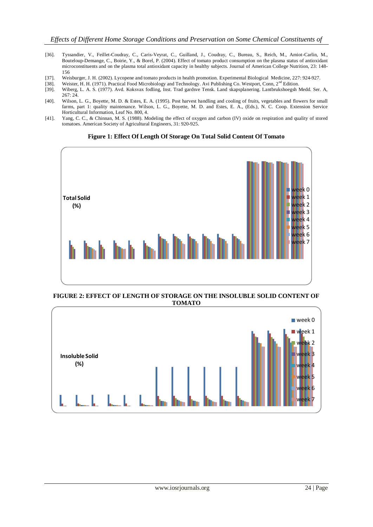- [36]. Tyssandier, V., Feillet-Coudray, C., Caris-Veyrat, C., Guilland, J., Coudray, C., Bureau, S., Reich, M., Amiot-Carlin, M., Bouteloup-Demange, C., Boirie, Y., & Borel, P. (2004). Effect of tomato product consumption on the plasma status of antioxidant microconstituents and on the plasma total antioxidant capacity in healthy subjects. Journal of American College Nutrition, 23: 148- 156
- [37]. Weisburger, J. H. (2002). Lycopene and tomato products in health promotion. Experimental Biological Medicine, 227: 924-927.
- [38]. Weister, H. H. (1971). Practical Food Microbiology and Technology. Avi Publishing Co. Westport, Conn, 2<sup>nd</sup> Edition.<br>[39]. Wiberg, L. A. S. (1977). Avd. Koksvax fodling, Inst. Trad gardsve Tensk. Land skapsplanering.
- [39]. Wiberg, L. A. S. (1977). Avd. Koksvax fodling, Inst. Trad gardsve Tensk. Land skapsplanering. Lantbrukshoegsh Medd. Ser. A, 267: 24.
- [40]. Wilson, L. G., Boyette, M. D. & Estes, E. A. (1995). Post harvest handling and cooling of fruits, vegetables and flowers for small farms, part 1: quality maintenance. Wilson, L. G., Boyette, M. D. and Estes, E. A., (Eds.), N. C. Coop. Extension Service Horticultural Information, Leaf No. 800, 4.
- [41]. Yang, C. C., & Chinnan, M. S. (1988). Modeling the effect of oxygen and carbon (IV) oxide on respiration and quality of stored tomatoes. American Society of Agricultural Engineers, 31: 920-925.



#### **Figure 1: Effect Of Length Of Storage On Total Solid Content Of Tomato**

**FIGURE 2: EFFECT OF LENGTH OF STORAGE ON THE INSOLUBLE SOLID CONTENT OF TOMATO**

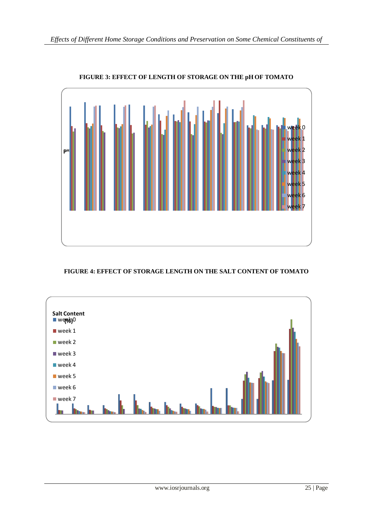

## **FIGURE 3: EFFECT OF LENGTH OF STORAGE ON THE pH OF TOMATO**

## **FIGURE 4: EFFECT OF STORAGE LENGTH ON THE SALT CONTENT OF TOMATO**

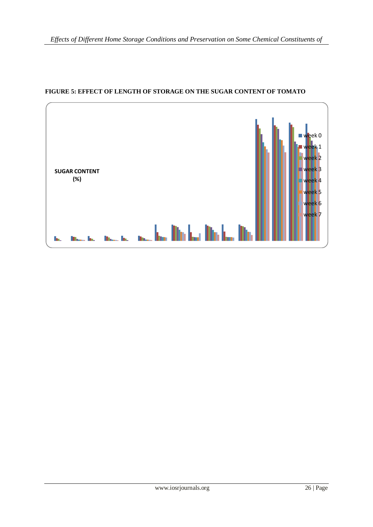

## **FIGURE 5: EFFECT OF LENGTH OF STORAGE ON THE SUGAR CONTENT OF TOMATO**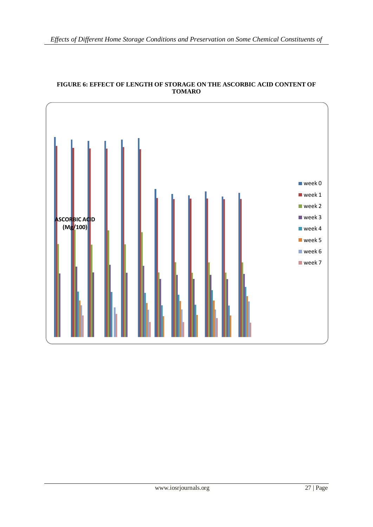

### **FIGURE 6: EFFECT OF LENGTH OF STORAGE ON THE ASCORBIC ACID CONTENT OF TOMARO**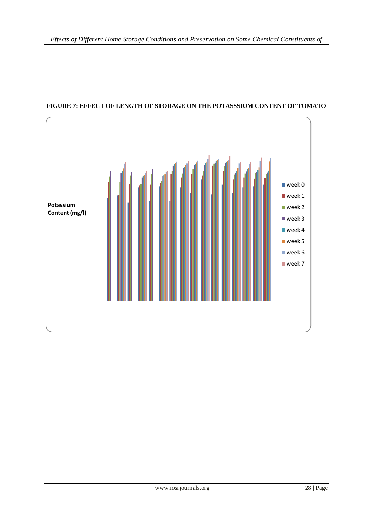

## **FIGURE 7: EFFECT OF LENGTH OF STORAGE ON THE POTASSSIUM CONTENT OF TOMATO**